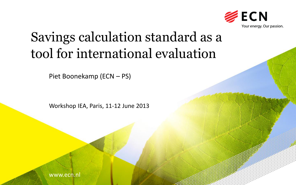

# Savings calculation standard as a tool for international evaluation

Piet Boonekamp (ECN – PS)

Workshop IEA, Paris, 11-12 June 2013

www.ecn.nl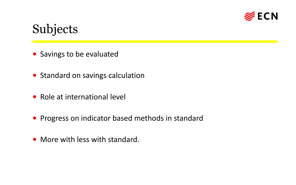

## Subjects

- Savings to be evaluated
- Standard on savings calculation
- Role at international level
- Progress on indicator based methods in standard
- More with less with standard.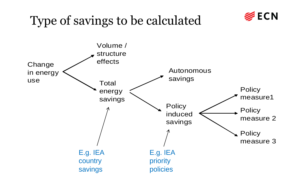# Type of savings to be calculated



**ECN**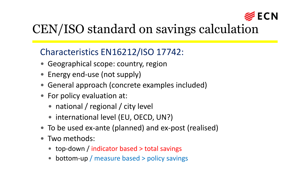

# CEN/ISO standard on savings calculation

## Characteristics EN16212/ISO 17742:

- Geographical scope: country, region
- Energy end-use (not supply)
- General approach (concrete examples included)
- For policy evaluation at:
	- national / regional / city level
	- international level (EU, OECD, UN?)
- To be used ex-ante (planned) and ex-post (realised)
- Two methods:
	- top-down / indicator based > total savings
	- bottom-up / measure based > policy savings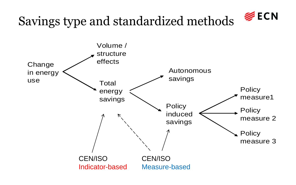

# Savings type and standardized methods

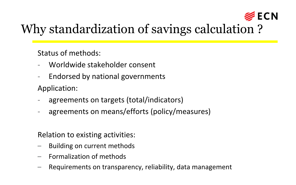

# Why standardization of savings calculation ?

Status of methods:

- Worldwide stakeholder consent
- Endorsed by national governments Application:
- agreements on targets (total/indicators)
- agreements on means/efforts (policy/measures)

Relation to existing activities:

- Building on current methods
- Formalization of methods
- Requirements on transparency, reliability, data management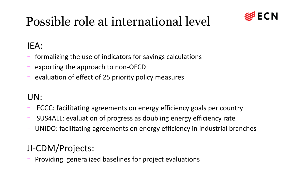## **ECN**

# Possible role at international level

## IEA:

- formalizing the use of indicators for savings calculations
- exporting the approach to non-OECD
- evaluation of effect of 25 priority policy measures

## UN:

- FCCC: facilitating agreements on energy efficiency goals per country
- SUS4ALL: evaluation of progress as doubling energy efficiency rate
- UNIDO: facilitating agreements on energy efficiency in industrial branches

## JI-CDM/Projects:

- Providing generalized baselines for project evaluations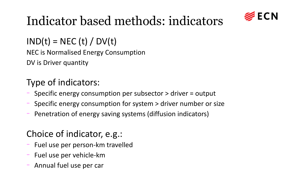

# Indicator based methods: indicators

 $IND(t) = NEC(t) / DV(t)$ 

NEC is Normalised Energy Consumption

DV is Driver quantity

## Type of indicators:

- Specific energy consumption per subsector > driver = output
- Specific energy consumption for system > driver number or size
- Penetration of energy saving systems (diffusion indicators)

## Choice of indicator, e.g.:

- Fuel use per person-km travelled
- Fuel use per vehicle-km
- Annual fuel use per car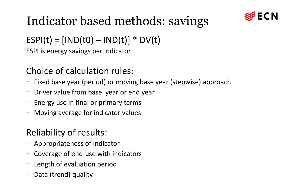

# Indicator based methods: savings

## $ESPI(t) = [IND(t0) - IND(t)] * DV(t)$

ESPI is energy savings per indicator

## Choice of calculation rules:

- Fixed base year (period) or moving base year (stepwise) approach
- Driver value from base year or end year
- Energy use in final or primary terms
- Moving average for indicator values

## Reliability of results:

- Appropriateness of indicator
- Coverage of end-use with indicators
- Length of evaluation period
- Data (trend) quality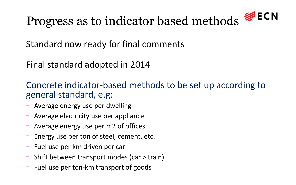# Progress as to indicator based methods  $\mathcal{E}$  ECN

Standard now ready for final comments

Final standard adopted in 2014

Concrete indicator-based methods to be set up according to general standard, e.g:

- Average energy use per dwelling
- Average electricity use per appliance
- Average energy use per m2 of offices
- Energy use per ton of steel, cement, etc.
- Fuel use per km driven per car
- Shift between transport modes (car > train)
- Fuel use per ton-km transport of goods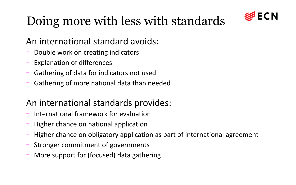

# Doing more with less with standards

## An international standard avoids:

- Double work on creating indicators
- Explanation of differences
- Gathering of data for indicators not used
- Gathering of more national data than needed

## An international standards provides:

- International framework for evaluation
- Higher chance on national application
- Higher chance on obligatory application as part of international agreement
- Stronger commitment of governments
- More support for (focused) data gathering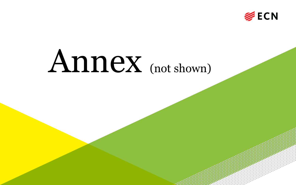

# Annex (not shown)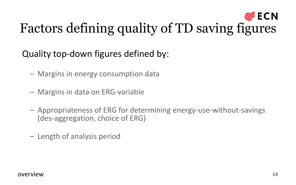## **ECN** Factors defining quality of TD saving figures

Quality top-down figures defined by:

- Margins in energy consumption data
- Margins in data on ERG-variable
- Appropriateness of ERG for determining energy-use-without-savings (des-aggregation, choice of ERG)
- Length of analysis period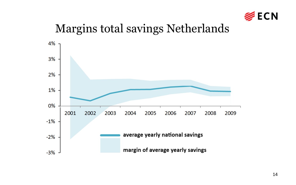

## Margins total savings Netherlands

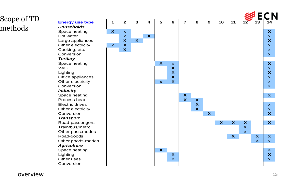### Scope of TD methods

*Tertiary*

*Industry*

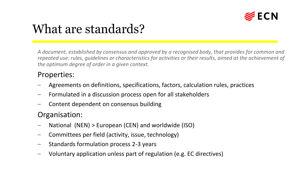

## What are standards?

*A document, established by consensus and approved by a recognised body, that provides for common and repeated use: rules, guidelines or characteristics for activities or their results, aimed at the achievement of the optimum degree of order in a given context.*

#### Properties:

- Agreements on definitions, specifications, factors, calculation rules, practices
- Formulated in a discussion process open for all stakeholders
- Content dependent on consensus building

### Organisation:

- National (NEN) > European (CEN) and worldwide (ISO)
- Committees per field (activity, issue, technology)
- Standards formulation process 2-3 years
- Voluntary application unless part of regulation (e.g. EC directives)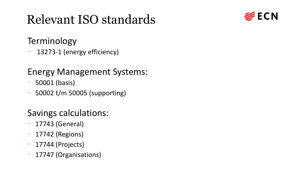# Relevant ISO standards



### Terminology

13273-1 (energy efficiency)

## Energy Management Systems:

- 50001 (basis)
- 50002 t/m 50005 (supporting)

## Savings calculations:

- 17743 (General)
- 17742 (Regions)
- 17744 (Projects)
- 17747 (Organisations)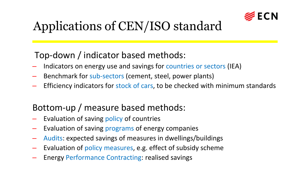

# Applications of CEN/ISO standard

## Top-down / indicator based methods:

- Indicators on energy use and savings for countries or sectors (IEA)
- Benchmark for sub-sectors (cement, steel, power plants)
- Efficiency indicators for stock of cars, to be checked with minimum standards

## Bottom-up / measure based methods:

- Evaluation of saving policy of countries
- Evaluation of saving programs of energy companies
- Audits: expected savings of measures in dwellings/buildings
- Evaluation of policy measures, e.g. effect of subsidy scheme
- Energy Performance Contracting: realised savings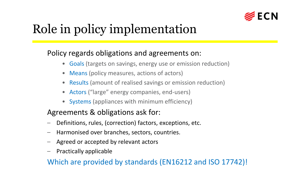

# Role in policy implementation

### Policy regards obligations and agreements on:

- Goals (targets on savings, energy use or emission reduction)
- Means (policy measures, actions of actors)
- Results (amount of realised savings or emission reduction)
- Actors ("large" energy companies, end-users)
- Systems (appliances with minimum efficiency)

### Agreements & obligations ask for:

- Definitions, rules, (correction) factors, exceptions, etc.
- Harmonised over branches, sectors, countries.
- Agreed or accepted by relevant actors
- Practically applicable

Which are provided by standards (EN16212 and ISO 17742)!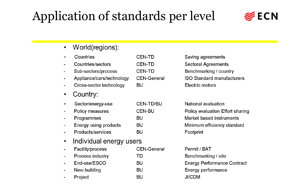# Application of standards per level



World(regions):  $\bullet$ 

| Countries                    | <b>CEN-TD</b>      |  |
|------------------------------|--------------------|--|
| Countries/sectors            | <b>CEN-TD</b>      |  |
| Sub-sectors/process          | <b>CEN-TD</b>      |  |
| Appliance/cars/technology    | <b>CEN-General</b> |  |
| Cross-sector technology      | BU                 |  |
| Country:                     |                    |  |
| Sector/energy-use            | <b>CEN-TD/BU</b>   |  |
| Policy measures              | <b>CEN-BU</b>      |  |
| Programmes                   | BU                 |  |
| <b>Energy using products</b> | BU                 |  |
| Products/services            | BU                 |  |
| Individual energy users      |                    |  |
| Facility/process             | CEN-General        |  |

Saving agreements Sectoral Agreements Benchmarking / country **ISO Standard manufacturers** Electric motors

| National evaluation              |  |  |
|----------------------------------|--|--|
| Policy evaluation Effort sharing |  |  |
| Market based instruments         |  |  |
| Minimum efficiency standard      |  |  |
| Footprint                        |  |  |

| Facility/process | <b>CEN-General</b> |
|------------------|--------------------|
| Process industry | TD                 |
| End-use/ESCO     | BU                 |
| New building     | BU                 |
| Project          | BU                 |

| Permit / BAT        |                                    |
|---------------------|------------------------------------|
| Benchmarking / site |                                    |
|                     | <b>Energy Performance Contract</b> |
| Energy performance  |                                    |
| JI/CDM              |                                    |